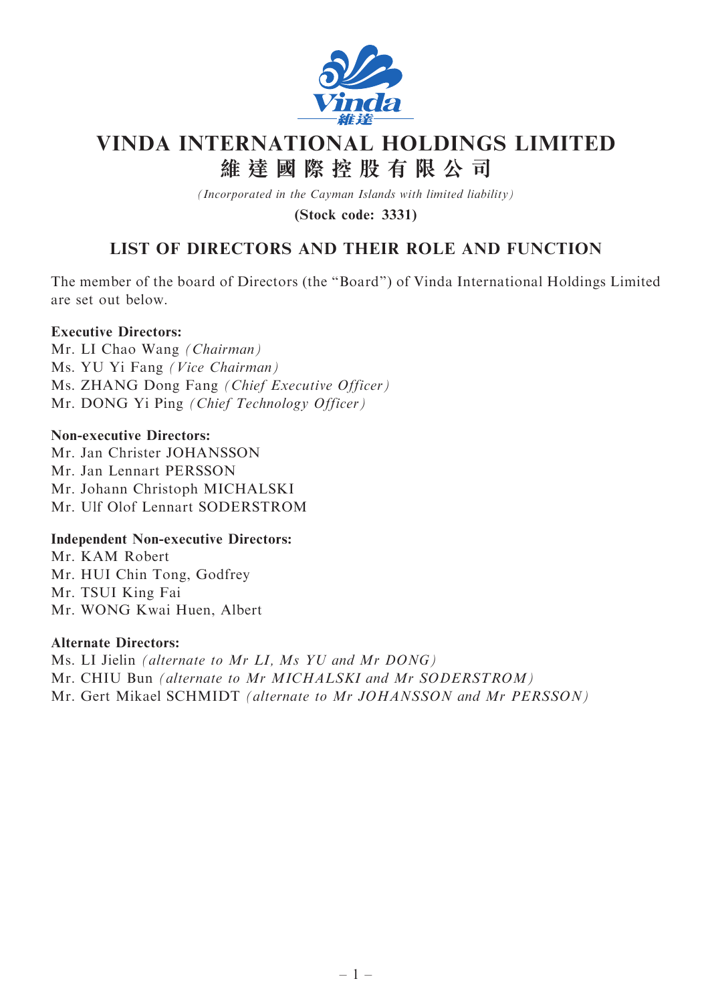

# VINDA INTERNATIONAL HOLDINGS LIMITED 維 達 國 際 控 股 有 限 公 司

(Incorporated in the Cayman Islands with limited liability)

(Stock code: 3331)

# LIST OF DIRECTORS AND THEIR ROLE AND FUNCTION

The member of the board of Directors (the ''Board'') of Vinda International Holdings Limited are set out below.

# Executive Directors:

Mr. LI Chao Wang (Chairman) Ms. YU Yi Fang (Vice Chairman) Ms. ZHANG Dong Fang (Chief Executive Officer) Mr. DONG Yi Ping (Chief Technology Officer)

#### Non-executive Directors:

Mr. Jan Christer JOHANSSON Mr. Jan Lennart PERSSON Mr. Johann Christoph MICHALSKI Mr. Ulf Olof Lennart SODERSTROM

# Independent Non-executive Directors:

Mr. KAM Robert Mr. HUI Chin Tong, Godfrey Mr. TSUI King Fai Mr. WONG Kwai Huen, Albert

#### Alternate Directors:

Ms. LI Jielin (alternate to Mr LI, Ms YU and Mr DONG) Mr. CHIU Bun (alternate to Mr MICHALSKI and Mr SODERSTROM) Mr. Gert Mikael SCHMIDT (alternate to Mr JOHANSSON and Mr PERSSON)